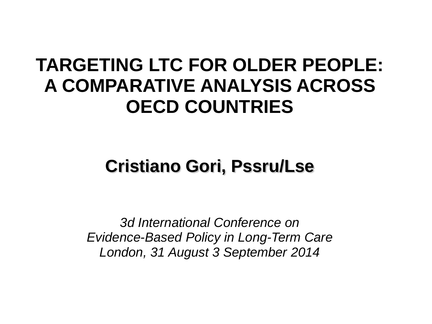### **TARGETING LTC FOR OLDER PEOPLE: A COMPARATIVE ANALYSIS ACROSS OECD COUNTRIES**

### **Cristiano Gori, Pssru/Lse**

*3d International Conference on Evidence-Based Policy in Long-Term Care London, 31 August 3 September 2014*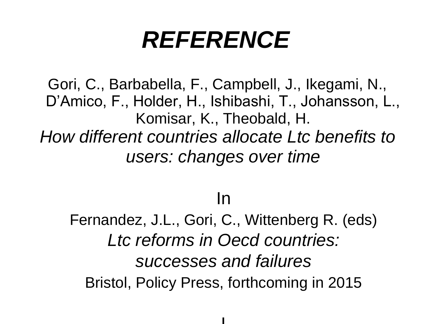# *REFERENCE*

Gori, C., Barbabella, F., Campbell, J., Ikegami, N., D'Amico, F., Holder, H., Ishibashi, T., Johansson, L., Komisar, K., Theobald, H. *How different countries allocate Ltc benefits to users: changes over time* 

### In

Fernandez, J.L., Gori, C., Wittenberg R. (eds) *Ltc reforms in Oecd countries: successes and failures* Bristol, Policy Press, forthcoming in 2015

I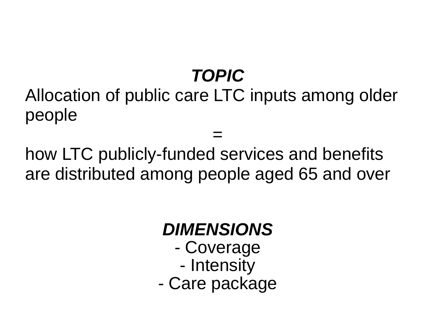## *TOPIC*

Allocation of public care LTC inputs among older people

= how LTC publicly-funded services and benefits are distributed among people aged 65 and over

#### *DIMENSIONS* - Coverage - Intensity - Care package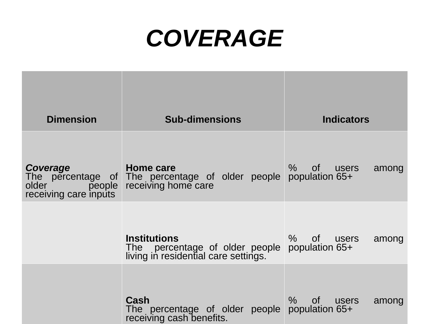## *COVERAGE*

| <b>Dimension</b>                                     | <b>Sub-dimensions</b>                                                                         | <b>Indicators</b>                           |
|------------------------------------------------------|-----------------------------------------------------------------------------------------------|---------------------------------------------|
|                                                      |                                                                                               |                                             |
| Coverage<br>older<br>people<br>receiving care inputs | Home care<br>The percentage of The percentage of older people<br>receiving home care          | $\%$<br>of users<br>among<br>population 65+ |
|                                                      | <b>Institutions</b><br>The percentage of older people<br>living in residential care settings. | %<br>of users<br>among<br>population 65+    |
|                                                      | Cash<br>The percentage of older people<br>receiving cash benefits.                            | %<br>of<br>users<br>among<br>population 65+ |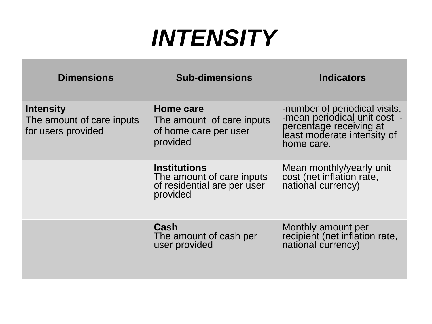# *INTENSITY*

| <b>Dimensions</b>                                                   | <b>Sub-dimensions</b>                                                                       | <b>Indicators</b>                                                                                                                     |
|---------------------------------------------------------------------|---------------------------------------------------------------------------------------------|---------------------------------------------------------------------------------------------------------------------------------------|
| <b>Intensity</b><br>The amount of care inputs<br>for users provided | Home care<br>The amount of care inputs<br>of home care per user<br>provided                 | -number of periodical visits,<br>-mean periodical unit cost -<br>percentage receiving at<br>least moderate intensity of<br>home care. |
|                                                                     | <b>Institutions</b><br>The amount of care inputs<br>of residential are per user<br>provided | Mean monthly/yearly unit<br>cost (net inflation rate,<br>national currency)                                                           |
|                                                                     | Cash<br>The amount of cash per<br>user provided                                             | Monthly amount per<br>recipient (net inflation rate,<br>national currency)                                                            |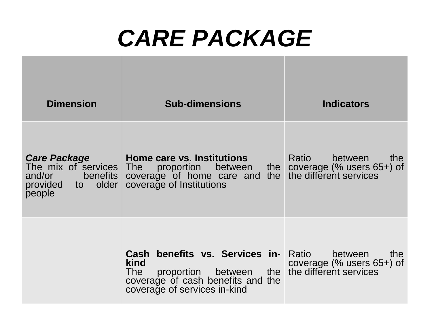# *CARE PACKAGE*

| <b>Dimension</b>                                                                             | <b>Sub-dimensions</b>                                                                                                                                                            | <b>Indicators</b>                                |  |
|----------------------------------------------------------------------------------------------|----------------------------------------------------------------------------------------------------------------------------------------------------------------------------------|--------------------------------------------------|--|
| <b>Care Package</b><br>The mix of services<br>and/or benefits<br>provided to older<br>people | Home care vs. Institutions<br>The proportion between the coverage (% users 65+) of coverage of home care and the the different services coverage of Institutions                 | Ratio<br>between<br>the                          |  |
|                                                                                              | <b>Cash benefits vs. Services in- Ratio</b><br>kind<br>proportion between the the different services<br>The<br>coverage of cash benefits and the<br>coverage of services in-kind | between<br>the<br>coverage $(\%$ users $65+)$ of |  |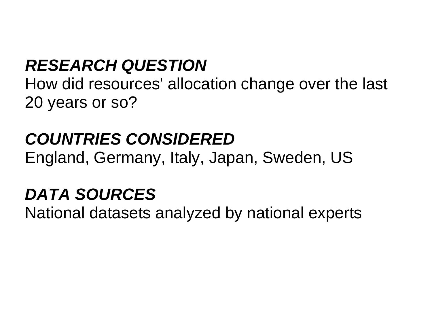### *RESEARCH QUESTION*

How did resources' allocation change over the last 20 years or so?

### *COUNTRIES CONSIDERED*

England, Germany, Italy, Japan, Sweden, US

### *DATA SOURCES*

National datasets analyzed by national experts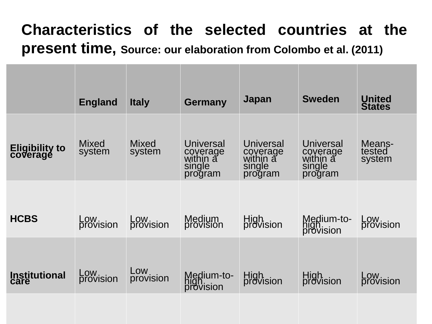#### **Characteristics of the selected countries at the present time, Source: our elaboration from Colombo et al. (2011)**

|                            | <b>England</b>         | <b>Italy</b>     | <b>Germany</b>                                         | Japan                                                  | <b>Sweden</b>                                          | <b>United</b><br><b>States</b> |
|----------------------------|------------------------|------------------|--------------------------------------------------------|--------------------------------------------------------|--------------------------------------------------------|--------------------------------|
| Eligibility to<br>coverage | <b>Mixed</b><br>system | Mixed<br>system  | Universal<br>coverage<br>within a<br>single<br>program | Universal<br>coverage<br>within a<br>single<br>program | Universal<br>coverage<br>within a<br>single<br>program | Means-<br>tested<br>system     |
| <b>HCBS</b>                | Low<br>provision       | Low<br>provision | Medium<br>provision                                    | High<br>provision                                      | Medium-to-<br>high<br>provision                        | Low<br>provision               |
| <b>Institutional</b>       | Low<br>provision       | Low<br>provision | Medium-to-<br>high<br>provision                        | High<br>provision                                      | High<br>provision                                      | Low<br>provision               |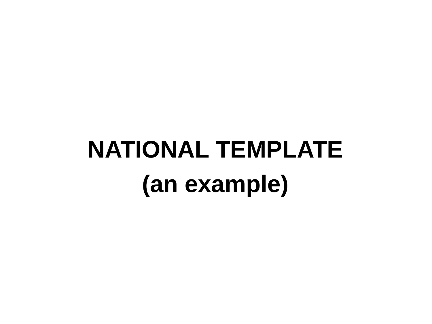# **NATIONAL TEMPLATE (an example)**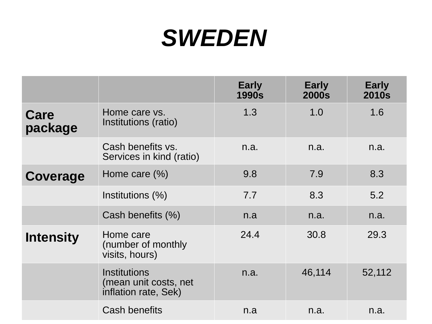# *SWEDEN*

|                  |                                                               | <b>Early</b><br><b>1990s</b> | <b>Early</b><br><b>2000s</b> | <b>Early</b><br><b>2010s</b> |
|------------------|---------------------------------------------------------------|------------------------------|------------------------------|------------------------------|
| Care<br>package  | Home care vs.<br>Institutions (ratio)                         | 1.3                          | 1.0                          | 1.6                          |
|                  | Cash benefits vs.<br>Services in kind (ratio)                 | n.a.                         | n.a.                         | n.a.                         |
| Coverage         | Home care $(\%)$                                              | 9.8                          | 7.9                          | 8.3                          |
|                  | Institutions (%)                                              | 7.7                          | 8.3                          | 5.2                          |
|                  | Cash benefits (%)                                             | n.a                          | n.a.                         | n.a.                         |
| <b>Intensity</b> | Home care<br>(number of monthly<br>visits, hours)             | 24.4                         | 30.8                         | 29.3                         |
|                  | Institutions<br>(mean unit costs, net<br>inflation rate, Sek) | n.a.                         | 46,114                       | 52,112                       |
|                  | <b>Cash benefits</b>                                          | n.a                          | n.a.                         | n.a.                         |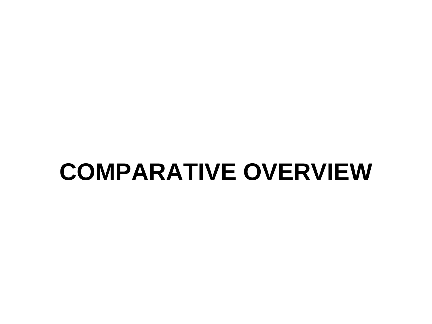# **COMPARATIVE OVERVIEW**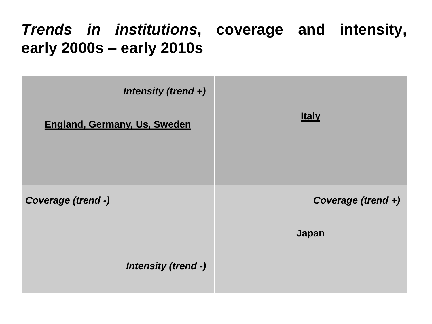#### *Trends in institutions***, coverage and intensity, early 2000s – early 2010s**

| Intensity (trend +)                 |                    |
|-------------------------------------|--------------------|
| <b>England, Germany, Us, Sweden</b> | <b>Italy</b>       |
|                                     |                    |
| Coverage (trend -)                  | Coverage (trend +) |
|                                     | <b>Japan</b>       |
| <b>Intensity (trend -)</b>          |                    |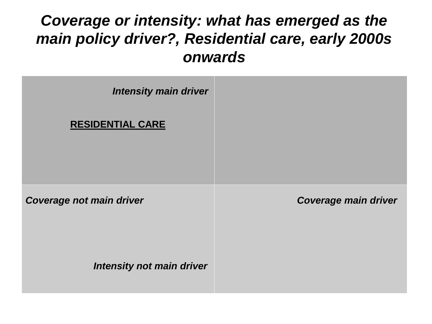#### *Coverage or intensity: what has emerged as the main policy driver?, Residential care, early 2000s onwards*

| <b>Intensity main driver</b>     |                             |
|----------------------------------|-----------------------------|
| <b>RESIDENTIAL CARE</b>          |                             |
|                                  |                             |
| <b>Coverage not main driver</b>  | <b>Coverage main driver</b> |
|                                  |                             |
|                                  |                             |
| <b>Intensity not main driver</b> |                             |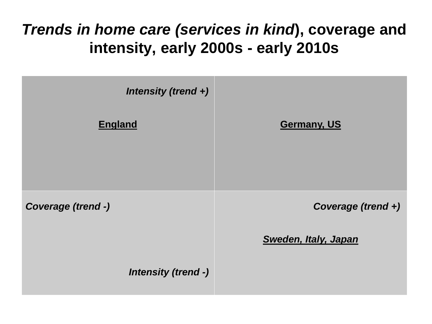#### *Trends in home care (services in kind***), coverage and intensity, early 2000s - early 2010s**

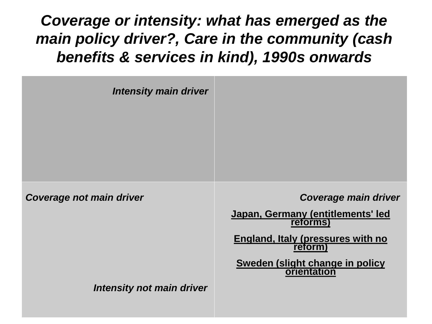*Coverage or intensity: what has emerged as the main policy driver?, Care in the community (cash benefits & services in kind), 1990s onwards*

| <b>Intensity main driver</b> |                                                |
|------------------------------|------------------------------------------------|
|                              |                                                |
|                              |                                                |
|                              |                                                |
| Coverage not main driver     | <b>Coverage main driver</b>                    |
|                              | Japan, Germany (entitlements' led<br>reforms)  |
|                              | England, Italy (pressures with no<br>reform)   |
|                              | Sweden (slight change in policy<br>orientation |
| Intensity not main driver    |                                                |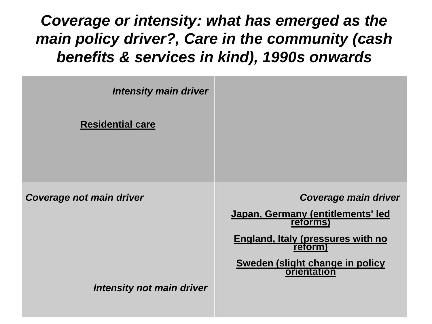*Coverage or intensity: what has emerged as the main policy driver?, Care in the community (cash benefits & services in kind), 1990s onwards*

| <b>Intensity main driver</b>    |                                                           |
|---------------------------------|-----------------------------------------------------------|
| <b>Residential care</b>         |                                                           |
|                                 |                                                           |
|                                 |                                                           |
| <b>Coverage not main driver</b> | <b>Coverage main driver</b>                               |
|                                 | Japan, Germany (entitlements' led<br>reforms)             |
|                                 | <b>England, Italy (pressures with no</b><br><b>reform</b> |
|                                 | <b>Sweden (slight change in policy)</b><br>orientation    |
| Intensity not main driver       |                                                           |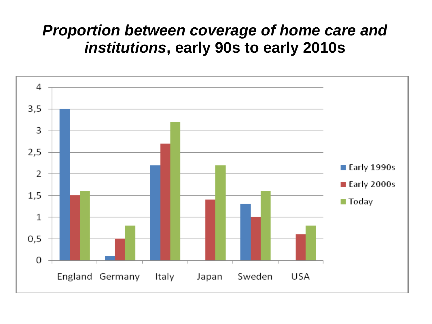#### *Proportion between coverage of home care and institutions***, early 90s to early 2010s**

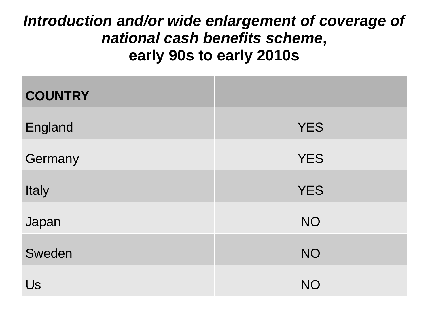#### *Introduction and/or wide enlargement of coverage of national cash benefits scheme***, early 90s to early 2010s**

| <b>COUNTRY</b> |            |
|----------------|------------|
| England        | <b>YES</b> |
| Germany        | <b>YES</b> |
| Italy          | <b>YES</b> |
| Japan          | <b>NO</b>  |
| Sweden         | <b>NO</b>  |
| Us             | <b>NO</b>  |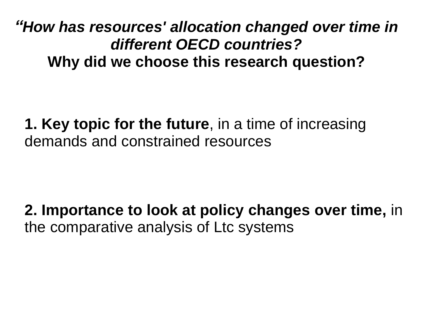*"How has resources' allocation changed over time in different OECD countries?*  **Why did we choose this research question?**

**1. Key topic for the future**, in a time of increasing demands and constrained resources

**2. Importance to look at policy changes over time,** in the comparative analysis of Ltc systems